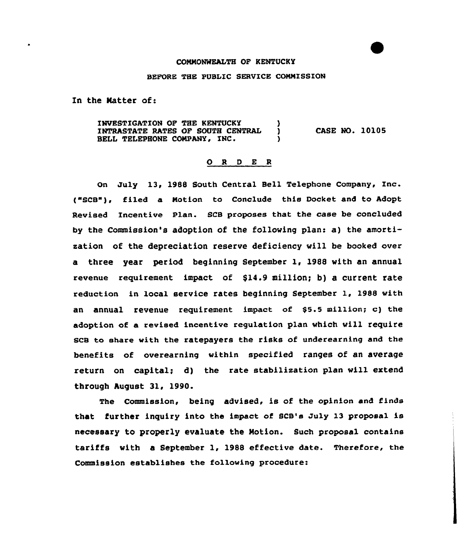## COMMONWEALTH OF KENTUCKY

## BEFORE THE PUBLIC SERVICE COMMISSION

In the Natter of:

INVESTIGATION OF THE KENTUCKY (1997)<br>INTRASTATE RATES OF SOUTH CENTRAL (1997) INTRASTATE RATES OF SOUTH CENTRAL ) BELL TELEPHONE COMPANY, INC. CASE NO. 10105

## O R D E R

On July 13, 1988 South Central Bell Telephone Company, Inc. {"SCB"), filed a Motion to Conclude this Docket and to Adopt Revised Incentive Plan. SCB proposes that the case be concluded by the Commission's adoption of the following plan: a) the amortisation of the depreciation reserve deficiency will be booked over a three year period beginning September 1, 1988 with an annual revenue requirement impact of \$14.9 million; b) a current rate reduction in local service rates beginning September l, <sup>1988</sup> with an annual revenue requirement, impact of \$5.5 million; c) the adoption of a revised incentive regulation plan which will require SCB to share with the ratepayers the risks of underearning and the benefits of overearning within specified ranges of an average return on capital; d) the rate stabilisation plan will extend through August 31, 1990.

The Commission, being advised, is of the opinion and finds that further inquiry into the impact of SCB's July 13 proposal is necessary to properly evaluate the Motion. Such proposal contains tariffs with a September 1, 1988 effective date. Therefore, the Commission establishes the following procedure: